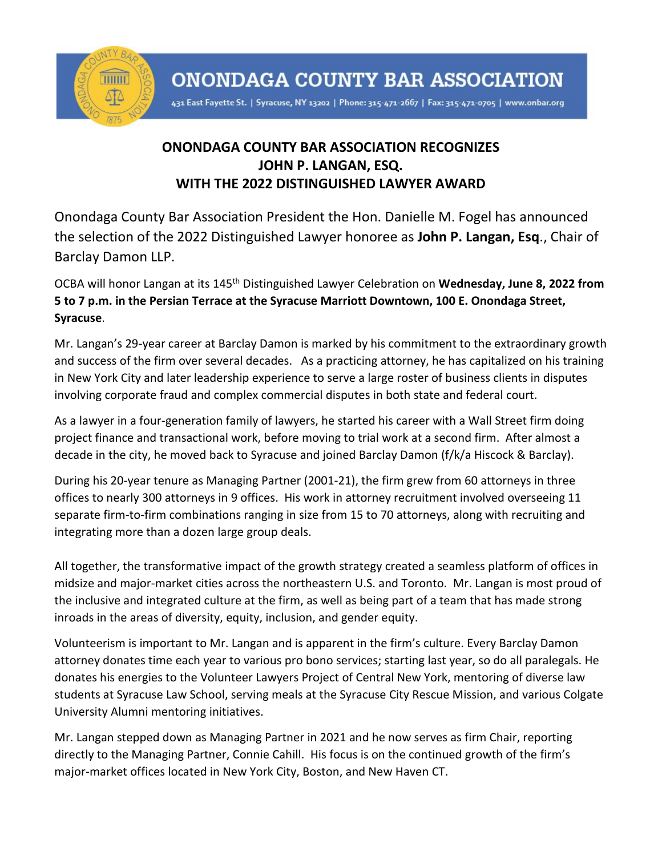

431 East Fayette St. | Syracuse, NY 13202 | Phone: 315-471-2667 | Fax: 315-471-0705 | www.onbar.org

## **ONONDAGA COUNTY BAR ASSOCIATION RECOGNIZES JOHN P. LANGAN, ESQ. WITH THE 2022 DISTINGUISHED LAWYER AWARD**

Onondaga County Bar Association President the Hon. Danielle M. Fogel has announced the selection of the 2022 Distinguished Lawyer honoree as **John P. Langan, Esq**., Chair of Barclay Damon LLP.

OCBA will honor Langan at its 145th Distinguished Lawyer Celebration on **Wednesday, June 8, 2022 from 5 to 7 p.m. in the Persian Terrace at the Syracuse Marriott Downtown, 100 E. Onondaga Street, Syracuse**.

Mr. Langan's 29-year career at Barclay Damon is marked by his commitment to the extraordinary growth and success of the firm over several decades. As a practicing attorney, he has capitalized on his training in New York City and later leadership experience to serve a large roster of business clients in disputes involving corporate fraud and complex commercial disputes in both state and federal court.

As a lawyer in a four-generation family of lawyers, he started his career with a Wall Street firm doing project finance and transactional work, before moving to trial work at a second firm. After almost a decade in the city, he moved back to Syracuse and joined Barclay Damon (f/k/a Hiscock & Barclay).

During his 20-year tenure as Managing Partner (2001-21), the firm grew from 60 attorneys in three offices to nearly 300 attorneys in 9 offices. His work in attorney recruitment involved overseeing 11 separate firm-to-firm combinations ranging in size from 15 to 70 attorneys, along with recruiting and integrating more than a dozen large group deals.

All together, the transformative impact of the growth strategy created a seamless platform of offices in midsize and major-market cities across the northeastern U.S. and Toronto. Mr. Langan is most proud of the inclusive and integrated culture at the firm, as well as being part of a team that has made strong inroads in the areas of diversity, equity, inclusion, and gender equity.

Volunteerism is important to Mr. Langan and is apparent in the firm's culture. Every Barclay Damon attorney donates time each year to various pro bono services; starting last year, so do all paralegals. He donates his energies to the Volunteer Lawyers Project of Central New York, mentoring of diverse law students at Syracuse Law School, serving meals at the Syracuse City Rescue Mission, and various Colgate University Alumni mentoring initiatives.

Mr. Langan stepped down as Managing Partner in 2021 and he now serves as firm Chair, reporting directly to the Managing Partner, Connie Cahill. His focus is on the continued growth of the firm's major-market offices located in New York City, Boston, and New Haven CT.